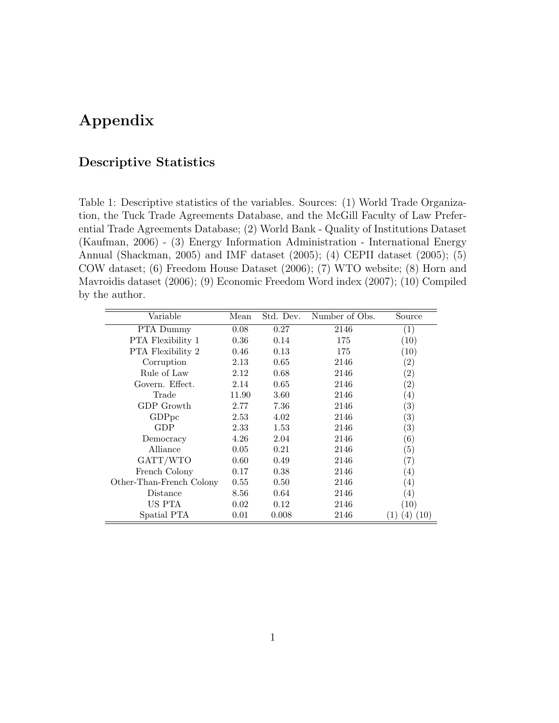# Appendix

### Descriptive Statistics

Table 1: Descriptive statistics of the variables. Sources: (1) World Trade Organization, the Tuck Trade Agreements Database, and the McGill Faculty of Law Preferential Trade Agreements Database; (2) World Bank - Quality of Institutions Dataset (Kaufman, 2006) - (3) Energy Information Administration - International Energy Annual (Shackman, 2005) and IMF dataset (2005); (4) CEPII dataset (2005); (5) COW dataset; (6) Freedom House Dataset (2006); (7) WTO website; (8) Horn and Mavroidis dataset (2006); (9) Economic Freedom Word index (2007); (10) Compiled by the author.

| Variable                 | Mean  | Std. Dev. | Number of Obs. | Source            |
|--------------------------|-------|-----------|----------------|-------------------|
| PTA Dummy                | 0.08  | 0.27      | 2146           | $\left( 1\right)$ |
| <b>PTA</b> Flexibility 1 | 0.36  | 0.14      | 175            | (10)              |
| <b>PTA</b> Flexibility 2 | 0.46  | 0.13      | 175            | (10)              |
| Corruption               | 2.13  | 0.65      | 2146           | $\left( 2\right)$ |
| Rule of Law              | 2.12  | 0.68      | 2146           | $\left( 2\right)$ |
| Govern. Effect.          | 2.14  | 0.65      | 2146           | $\left( 2\right)$ |
| Trade                    | 11.90 | 3.60      | 2146           | $\left(4\right)$  |
| GDP Growth               | 2.77  | 7.36      | 2146           | $\left( 3\right)$ |
| GDP <sub>pc</sub>        | 2.53  | 4.02      | 2146           | $\left( 3\right)$ |
| GDP                      | 2.33  | 1.53      | 2146           | $\left( 3\right)$ |
| Democracy                | 4.26  | 2.04      | 2146           | $\left(6\right)$  |
| Alliance                 | 0.05  | 0.21      | 2146           | (5)               |
| GATT/WTO                 | 0.60  | 0.49      | 2146           | $\left( 7\right)$ |
| French Colony            | 0.17  | 0.38      | 2146           | $\left(4\right)$  |
| Other-Than-French Colony | 0.55  | 0.50      | 2146           | $\left( 4\right)$ |
| Distance                 | 8.56  | 0.64      | 2146           | $\left(4\right)$  |
| US PTA                   | 0.02  | 0.12      | 2146           | (10)              |
| Spatial PTA              | 0.01  | 0.008     | 2146           | 10)               |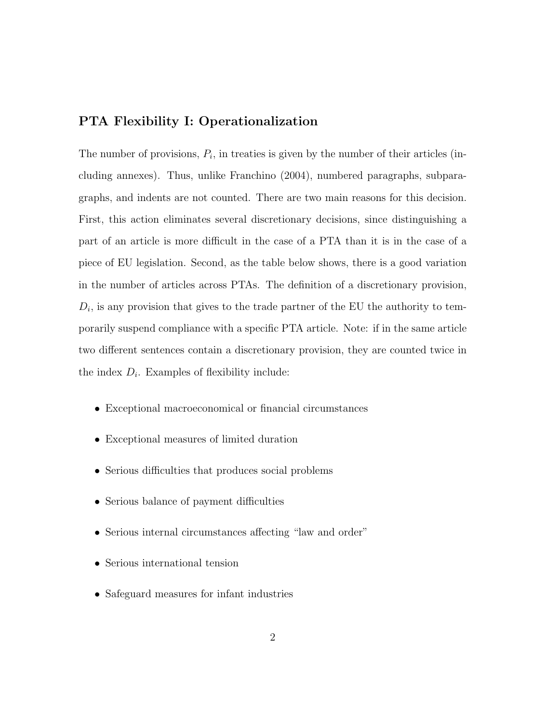#### PTA Flexibility I: Operationalization

The number of provisions,  $P_i$ , in treaties is given by the number of their articles (including annexes). Thus, unlike Franchino (2004), numbered paragraphs, subparagraphs, and indents are not counted. There are two main reasons for this decision. First, this action eliminates several discretionary decisions, since distinguishing a part of an article is more difficult in the case of a PTA than it is in the case of a piece of EU legislation. Second, as the table below shows, there is a good variation in the number of articles across PTAs. The definition of a discretionary provision,  $D_i$ , is any provision that gives to the trade partner of the EU the authority to temporarily suspend compliance with a specific PTA article. Note: if in the same article two different sentences contain a discretionary provision, they are counted twice in the index  $D_i$ . Examples of flexibility include:

- Exceptional macroeconomical or financial circumstances
- Exceptional measures of limited duration
- Serious difficulties that produces social problems
- Serious balance of payment difficulties
- Serious internal circumstances affecting "law and order"
- Serious international tension
- Safeguard measures for infant industries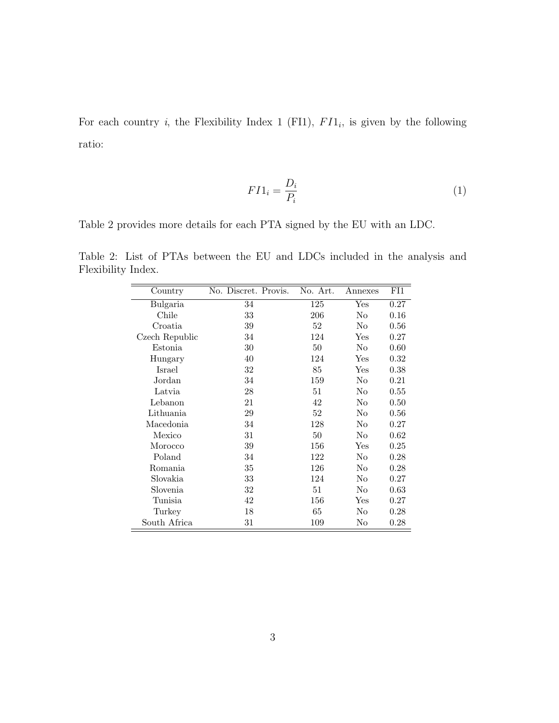For each country *i*, the Flexibility Index 1 (FI1),  $FI1_i$ , is given by the following ratio:

$$
F I 1_i = \frac{D_i}{P_i} \tag{1}
$$

Table 2 provides more details for each PTA signed by the EU with an LDC.

Table 2: List of PTAs between the EU and LDCs included in the analysis and Flexibility Index.

| Country        | No. Discret. Provis. | No. Art. | Annexes              | FI1  |
|----------------|----------------------|----------|----------------------|------|
| Bulgaria       | 34                   | 125      | Yes                  | 0.27 |
| Chile          | 33                   | 206      | No                   | 0.16 |
| Croatia        | 39                   | 52       | No                   | 0.56 |
| Czech Republic | 34                   | 124      | Yes                  | 0.27 |
| Estonia        | 30                   | 50       | No                   | 0.60 |
| Hungary        | 40                   | 124      | $\operatorname{Yes}$ | 0.32 |
| Israel         | 32                   | 85       | Yes                  | 0.38 |
| Jordan         | 34                   | 159      | No                   | 0.21 |
| Latvia         | 28                   | 51       | No                   | 0.55 |
| Lebanon        | 21                   | 42       | No                   | 0.50 |
| Lithuania      | 29                   | 52       | No                   | 0.56 |
| Macedonia      | 34                   | 128      | No                   | 0.27 |
| Mexico         | 31                   | 50       | No                   | 0.62 |
| Morocco        | 39                   | 156      | Yes                  | 0.25 |
| Poland         | 34                   | 122      | No                   | 0.28 |
| Romania        | 35                   | 126      | No                   | 0.28 |
| Slovakia       | 33                   | 124      | No                   | 0.27 |
| Slovenia       | 32                   | 51       | No                   | 0.63 |
| Tunisia        | 42                   | 156      | Yes                  | 0.27 |
| Turkey         | 18                   | 65       | No                   | 0.28 |
| South Africa   | 31                   | 109      | No                   | 0.28 |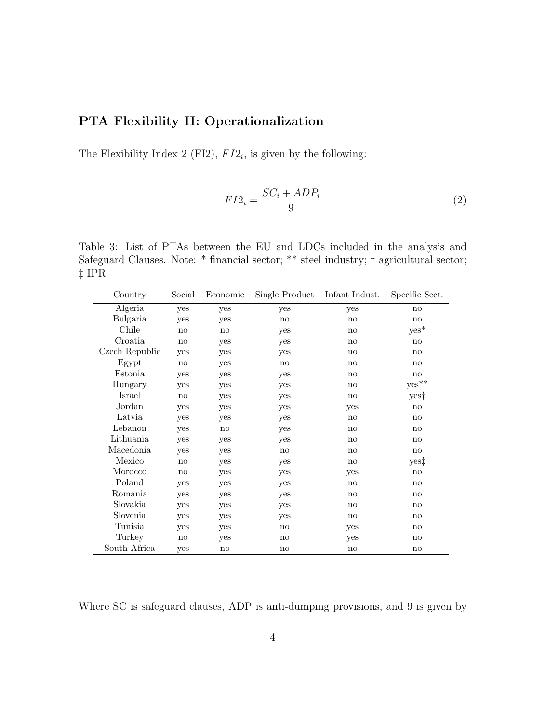## PTA Flexibility II: Operationalization

The Flexibility Index 2 (FI2),  $FI2_i$ , is given by the following:

$$
FI2_i = \frac{SC_i + ADP_i}{9} \tag{2}
$$

Table 3: List of PTAs between the EU and LDCs included in the analysis and Safeguard Clauses. Note: \* financial sector; \*\* steel industry; † agricultural sector; ‡ IPR

| Country        | Social        | Economic               | Single Product         | Infant Indust.         | Specific Sect.         |
|----------------|---------------|------------------------|------------------------|------------------------|------------------------|
| Algeria        | yes           | yes                    | yes                    | yes                    | no                     |
| Bulgaria       | yes           | yes                    | no                     | no                     | no                     |
| Chile          | no            | no                     | yes                    | no                     | $yes^*$                |
| Croatia        | no            | yes                    | yes                    | no                     | no                     |
| Czech Republic | yes           | yes                    | yes                    | no                     | no                     |
| Egypt          | no            | yes                    | no                     | no                     | no                     |
| Estonia        | yes           | yes                    | yes                    | no                     | no                     |
| Hungary        | yes           | yes                    | yes                    | no                     | ${\rm yes}^{**}$       |
| Israel         | no            | yes                    | yes                    | no                     | yes†                   |
| Jordan         | yes           | yes                    | yes                    | yes                    | no                     |
| Latvia         | yes           | yes                    | yes                    | no                     | no                     |
| Lebanon        | yes           | no                     | yes                    | no                     | no                     |
| Lithuania      | yes           | yes                    | yes                    | no                     | no                     |
| Macedonia      | yes           | yes                    | no                     | no                     | no                     |
| Mexico         | no            | yes                    | yes                    | no                     | yes‡                   |
| Morocco        | no            | yes                    | yes                    | yes                    | no                     |
| Poland         | yes           | yes                    | yes                    | no                     | no                     |
| Romania        | yes           | yes                    | yes                    | no                     | no                     |
| Slovakia       | yes           | yes                    | yes                    | no                     | no                     |
| Slovenia       | yes           | yes                    | yes                    | no                     | no                     |
| Tunisia        | yes           | yes                    | no                     | yes                    | no                     |
| Turkey         | $\mathbf{no}$ | yes                    | no                     | yes                    | no                     |
| South Africa   | yes           | $\mathop{\mathrm{no}}$ | $\mathop{\mathrm{no}}$ | $\mathbf{n}\mathbf{o}$ | $\mathbf{n}\mathbf{o}$ |

Where SC is safeguard clauses, ADP is anti-dumping provisions, and 9 is given by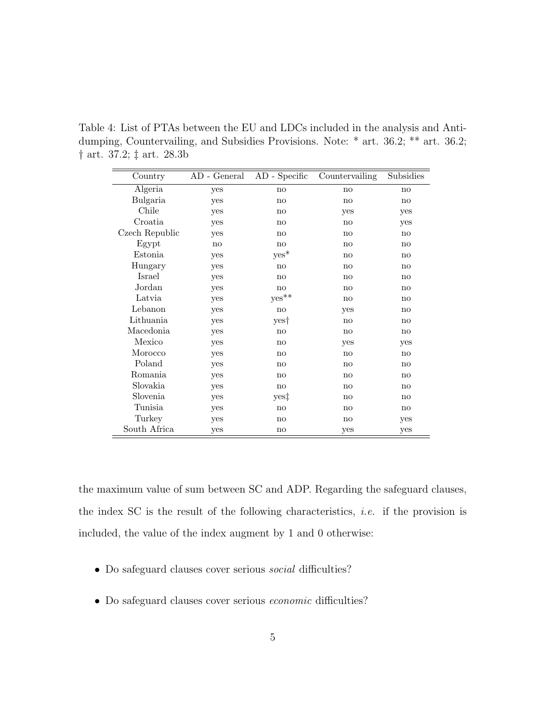Table 4: List of PTAs between the EU and LDCs included in the analysis and Antidumping, Countervailing, and Subsidies Provisions. Note: \* art. 36.2; \*\* art. 36.2; † art. 37.2; ‡ art. 28.3b

| Country        | AD - General | AD - Specific | Countervailing         | Subsidies |
|----------------|--------------|---------------|------------------------|-----------|
| Algeria        | yes          | no            | no                     | no        |
| Bulgaria       | yes          | no            | no                     | no        |
| Chile          | yes          | no            | yes                    | yes       |
| Croatia        | yes          | no            | no                     | yes       |
| Czech Republic | yes          | no            | no                     | no        |
| Egypt          | no           | no            | no                     | no        |
| Estonia        | yes          | $yes*$        | no                     | no        |
| Hungary        | yes          | no            | no                     | no        |
| Israel         | yes          | no            | no                     | no        |
| Jordan         | yes          | no            | no                     | no        |
| Latvia         | yes          | $yes**$       | no                     | no        |
| Lebanon        | yes          | no            | yes                    | no        |
| Lithuania      | yes          | yes†          | no                     | no        |
| Macedonia      | yes          | no            | no                     | no        |
| Mexico         | yes          | no            | yes                    | yes       |
| Morocco        | yes          | no            | no                     | no        |
| Poland         | yes          | no            | no                     | no        |
| Romania        | yes          | no            | no                     | no        |
| Slovakia       | yes          | no            | $\mathbf{n}\mathbf{o}$ | no        |
| Slovenia       | yes          | yes‡          | no                     | no        |
| Tunisia        | yes          | no            | no                     | no        |
| Turkey         | yes          | no            | no                     | yes       |
| South Africa   | yes          | no            | yes                    | yes       |

the maximum value of sum between SC and ADP. Regarding the safeguard clauses, the index SC is the result of the following characteristics, *i.e.* if the provision is included, the value of the index augment by 1 and 0 otherwise:

- Do safeguard clauses cover serious social difficulties?
- Do safeguard clauses cover serious economic difficulties?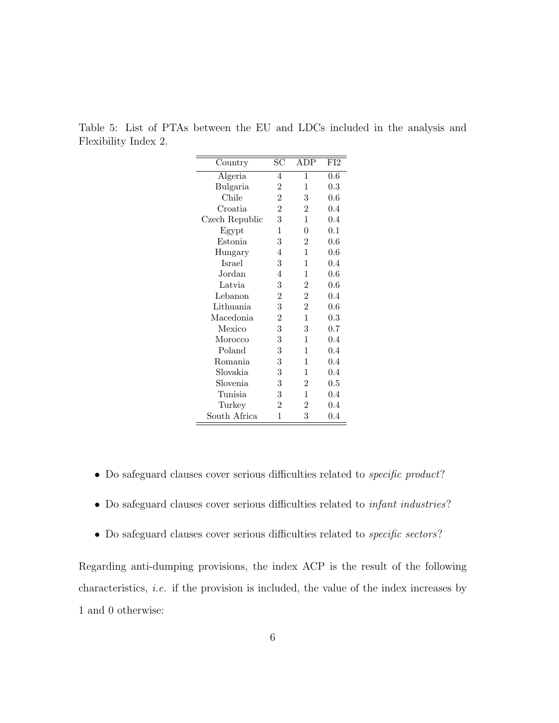Table 5: List of PTAs between the EU and LDCs included in the analysis and Flexibility Index 2.

| Country        | $_{\rm SC}$      | ADP            | FI <sub>2</sub> |
|----------------|------------------|----------------|-----------------|
| Algeria        | 4                | 1              | 0.6             |
| Bulgaria       | $\overline{2}$   | 1              | 0.3             |
| Chile          | $\overline{2}$   | 3              | 0.6             |
| Croatia        | $\overline{2}$   | $\overline{2}$ | 0.4             |
| Czech Republic | 3                | $\mathbf{1}$   | 0.4             |
| Egypt          | 1                | $\theta$       | 0.1             |
| Estonia        | 3                | $\overline{2}$ | 0.6             |
| Hungary        | 4                | 1              | $0.6\,$         |
| <b>Israel</b>  | 3                | 1              | $0.4\,$         |
| Jordan         | $\overline{4}$   | 1              | 0.6             |
| Latvia         | 3                | $\overline{2}$ | 0.6             |
| Lebanon        | $\overline{2}$   | $\overline{2}$ | $0.4\,$         |
| Lithuania      | 3                | $\overline{2}$ | 0.6             |
| Macedonia      | $\overline{2}$   | $\mathbf{1}$   | 0.3             |
| Mexico         | 3                | 3              | 0.7             |
| Morocco        | 3                | 1              | 0.4             |
| Poland         | 3                | 1              | 0.4             |
| Romania        | 3                | 1              | 0.4             |
| Slovakia       | 3                | 1              | 0.4             |
| Slovenia       | $\boldsymbol{3}$ | $\overline{2}$ | 0.5             |
| Tunisia        | 3                | $\mathbf{1}$   | 0.4             |
| Turkey         | $\overline{2}$   | $\overline{2}$ | 0.4             |
| South Africa   | 1                | 3              | 0.4             |

- Do safeguard clauses cover serious difficulties related to *specific product*?
- Do safeguard clauses cover serious difficulties related to *infant industries*?
- Do safeguard clauses cover serious difficulties related to *specific sectors*?

Regarding anti-dumping provisions, the index ACP is the result of the following characteristics, i.e. if the provision is included, the value of the index increases by 1 and 0 otherwise: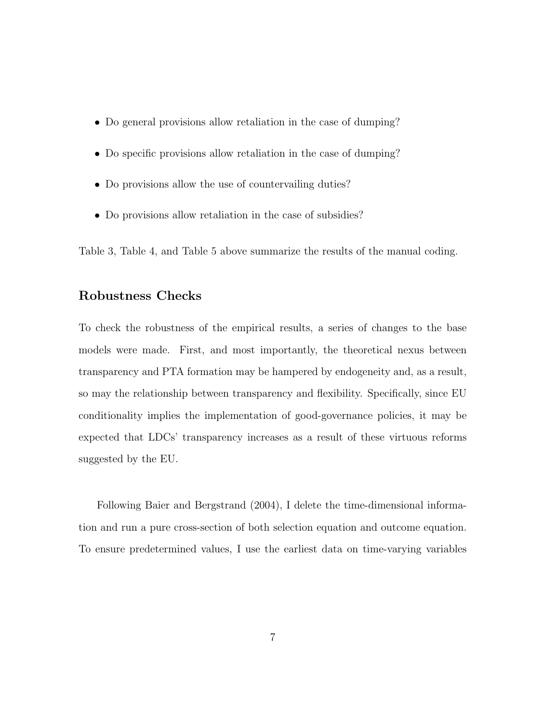- Do general provisions allow retaliation in the case of dumping?
- Do specific provisions allow retaliation in the case of dumping?
- Do provisions allow the use of countervailing duties?
- Do provisions allow retaliation in the case of subsidies?

Table 3, Table 4, and Table 5 above summarize the results of the manual coding.

#### Robustness Checks

To check the robustness of the empirical results, a series of changes to the base models were made. First, and most importantly, the theoretical nexus between transparency and PTA formation may be hampered by endogeneity and, as a result, so may the relationship between transparency and flexibility. Specifically, since EU conditionality implies the implementation of good-governance policies, it may be expected that LDCs' transparency increases as a result of these virtuous reforms suggested by the EU.

Following Baier and Bergstrand (2004), I delete the time-dimensional information and run a pure cross-section of both selection equation and outcome equation. To ensure predetermined values, I use the earliest data on time-varying variables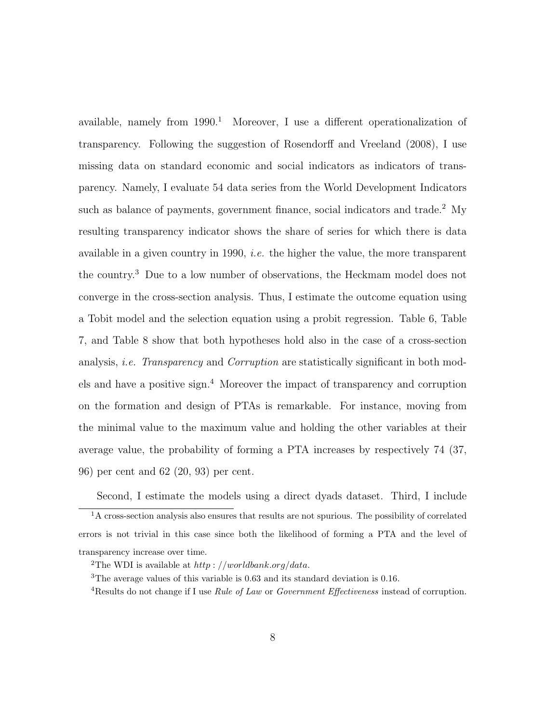available, namely from  $1990<sup>1</sup>$  Moreover, I use a different operationalization of transparency. Following the suggestion of Rosendorff and Vreeland (2008), I use missing data on standard economic and social indicators as indicators of transparency. Namely, I evaluate 54 data series from the World Development Indicators such as balance of payments, government finance, social indicators and trade.<sup>2</sup> My resulting transparency indicator shows the share of series for which there is data available in a given country in 1990, i.e. the higher the value, the more transparent the country.<sup>3</sup> Due to a low number of observations, the Heckmam model does not converge in the cross-section analysis. Thus, I estimate the outcome equation using a Tobit model and the selection equation using a probit regression. Table 6, Table 7, and Table 8 show that both hypotheses hold also in the case of a cross-section analysis, *i.e.* Transparency and Corruption are statistically significant in both models and have a positive sign.<sup>4</sup> Moreover the impact of transparency and corruption on the formation and design of PTAs is remarkable. For instance, moving from the minimal value to the maximum value and holding the other variables at their average value, the probability of forming a PTA increases by respectively 74 (37, 96) per cent and 62 (20, 93) per cent.

Second, I estimate the models using a direct dyads dataset. Third, I include <sup>1</sup>A cross-section analysis also ensures that results are not spurious. The possibility of correlated errors is not trivial in this case since both the likelihood of forming a PTA and the level of transparency increase over time.

<sup>&</sup>lt;sup>2</sup>The WDI is available at  $http://worldbank.org/data$ .

<sup>3</sup>The average values of this variable is 0.63 and its standard deviation is 0.16.

<sup>&</sup>lt;sup>4</sup>Results do not change if I use *Rule of Law* or *Government Effectiveness* instead of corruption.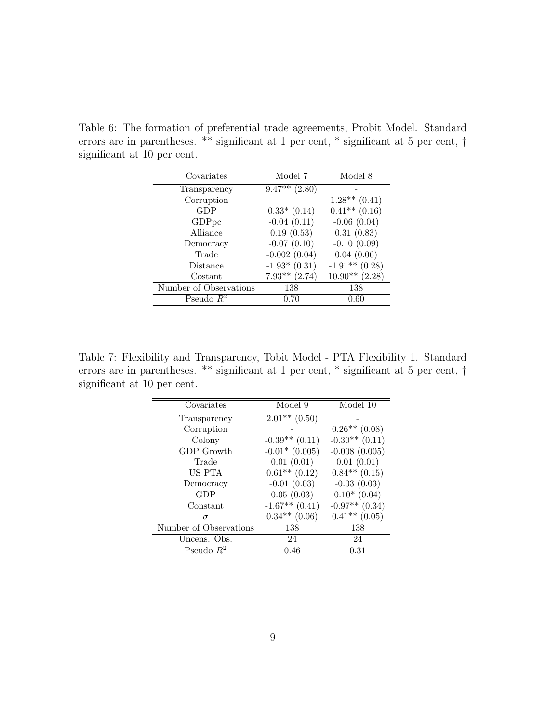| Covariates             | Model 7            | Model 8          |
|------------------------|--------------------|------------------|
| Transparency           | $9.47**$<br>(2.80) |                  |
| Corruption             |                    | $1.28**$ (0.41)  |
| GDP                    | $0.33*$ (0.14)     | $0.41***$ (0.16) |
| GDP <sub>pc</sub>      | $-0.04(0.11)$      | $-0.06$ $(0.04)$ |
| Alliance               | 0.19(0.53)         | 0.31(0.83)       |
| Democracy              | $-0.07(0.10)$      | $-0.10(0.09)$    |
| Trade                  | $-0.002(0.04)$     | 0.04(0.06)       |
| Distance               | $-1.93*(0.31)$     | $-1.91**$ (0.28) |
| Costant                | $7.93**$ $(2.74)$  | $10.90**$ (2.28) |
| Number of Observations | 138                | 138              |
| Pseudo $R^2$           | 0.70               | 0.60             |

Table 6: The formation of preferential trade agreements, Probit Model. Standard errors are in parentheses. \*\* significant at 1 per cent, \* significant at 5 per cent, † significant at 10 per cent.

Table 7: Flexibility and Transparency, Tobit Model - PTA Flexibility 1. Standard errors are in parentheses. \*\* significant at 1 per cent, \* significant at 5 per cent, † significant at 10 per cent.

| Covariates             | Model 9                       | Model 10           |
|------------------------|-------------------------------|--------------------|
| Transparency           | $\overline{2.01^{**}}$ (0.50) |                    |
| Corruption             |                               | $0.26**$ (0.08)    |
| Colony                 | $-0.39**$ (0.11)              | $-0.30**$ (0.11)   |
| GDP Growth             | $-0.01*(0.005)$               | $-0.008(0.005)$    |
| Trade                  | 0.01(0.01)                    | 0.01(0.01)         |
| US PTA                 | $0.61**$ $(0.12)$             | $0.84**$ (0.15)    |
| Democracy              | $-0.01(0.03)$                 | $-0.03(0.03)$      |
| GDP                    | 0.05(0.03)                    | $0.10*(0.04)$      |
| Constant               | $-1.67**$ (0.41)              | $-0.97**$ $(0.34)$ |
| $\sigma$               | $0.34***$ (0.06)              | $0.41**$ (0.05)    |
| Number of Observations | 138                           | 138                |
| Uncens. Obs.           | 24                            | 24                 |
| Pseudo $R^2$           | 0.46                          | 0.31               |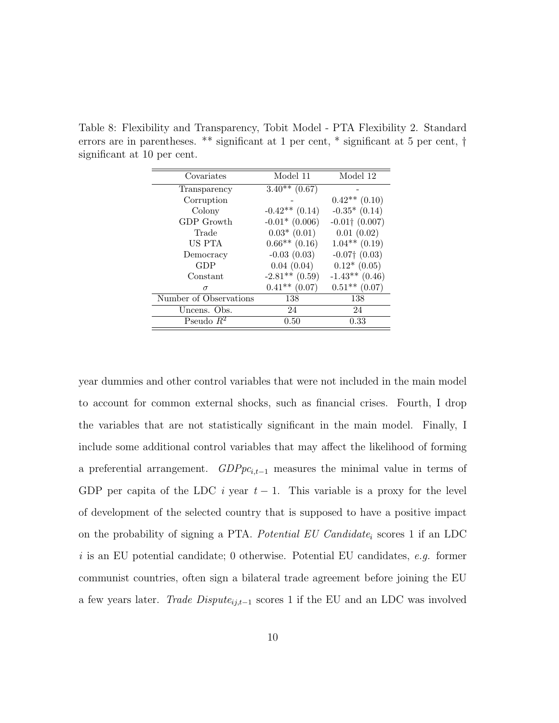Table 8: Flexibility and Transparency, Tobit Model - PTA Flexibility 2. Standard errors are in parentheses. \*\* significant at 1 per cent, \* significant at 5 per cent, † significant at 10 per cent.

| Covariates             | Model 11         | Model 12            |
|------------------------|------------------|---------------------|
| Transparency           | $3.40**$ (0.67)  |                     |
| Corruption             |                  | $0.42**$ $(0.10)$   |
| Colony                 | $-0.42**$ (0.14) | $-0.35*(0.14)$      |
| GDP Growth             | $-0.01*$ (0.006) | $-0.01$ † $(0.007)$ |
| Trade                  | $0.03*$ (0.01)   | 0.01(0.02)          |
| US PTA                 | $0.66**$ (0.16)  | $1.04**$ (0.19)     |
| Democracy              | $-0.03(0.03)$    | $-0.07$ † $(0.03)$  |
| GDP                    | 0.04(0.04)       | $0.12*(0.05)$       |
| Constant               | $-2.81**$ (0.59) | $-1.43**$ (0.46)    |
| $\sigma$               | $0.41**$ (0.07)  | $0.51**$ (0.07)     |
| Number of Observations | 138              | 138                 |
| Uncens. Obs.           | 24               | 24                  |
| Pseudo $R^2$           | 0.50             | 0.33                |

year dummies and other control variables that were not included in the main model to account for common external shocks, such as financial crises. Fourth, I drop the variables that are not statistically significant in the main model. Finally, I include some additional control variables that may affect the likelihood of forming a preferential arrangement.  $GDPpc_{i,t-1}$  measures the minimal value in terms of GDP per capita of the LDC i year  $t-1$ . This variable is a proxy for the level of development of the selected country that is supposed to have a positive impact on the probability of signing a PTA. Potential EU Candidate<sub>i</sub> scores 1 if an LDC i is an EU potential candidate; 0 otherwise. Potential EU candidates, e.g. former communist countries, often sign a bilateral trade agreement before joining the EU a few years later. *Trade Dispute*<sub>ij,t−1</sub> scores 1 if the EU and an LDC was involved